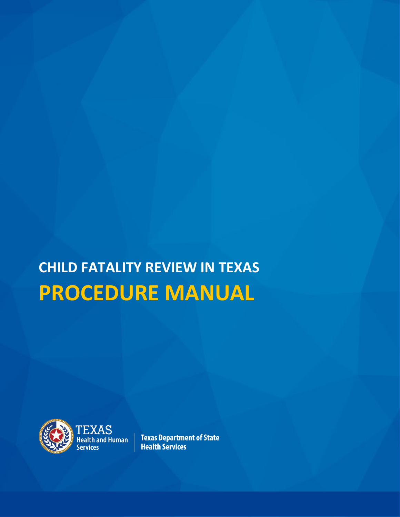# **CHILD FATALITY REVIEW IN TEXAS PROCEDURE MANUAL**



TEXAS<br>Health and Human **Services** 

**Texas Department of State Health Services**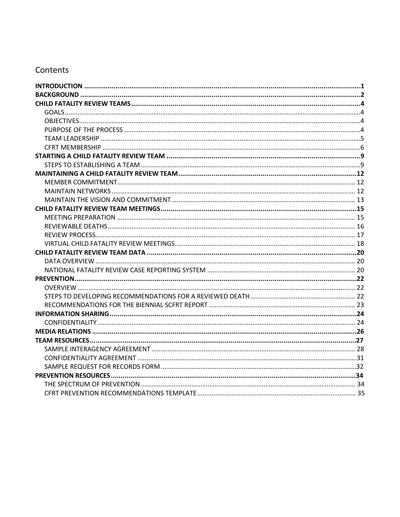#### Contents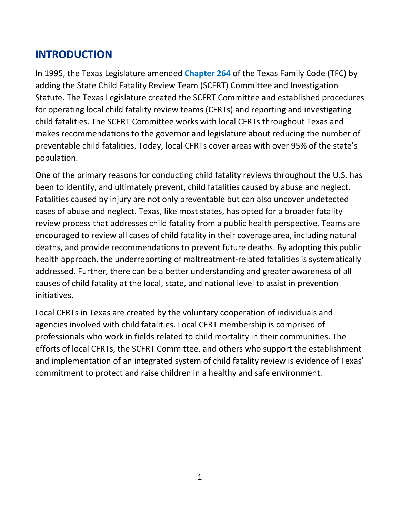# <span id="page-2-1"></span><span id="page-2-0"></span>**INTRODUCTION**

In 1995, the Texas Legislature amended **[Chapter 264](https://statutes.capitol.texas.gov/Docs/FA/htm/FA.264.htm)** of the Texas Family Code (TFC) by adding the State Child Fatality Review Team (SCFRT) Committee and Investigation Statute. The Texas Legislature created the SCFRT Committee and established procedures for operating local child fatality review teams (CFRTs) and reporting and investigating child fatalities. The SCFRT Committee works with local CFRTs throughout Texas and makes recommendations to the governor and legislature about reducing the number of preventable child fatalities. Today, local CFRTs cover areas with over 95% of the state's population.

One of the primary reasons for conducting child fatality reviews throughout the U.S. has been to identify, and ultimately prevent, child fatalities caused by abuse and neglect. Fatalities caused by injury are not only preventable but can also uncover undetected cases of abuse and neglect. Texas, like most states, has opted for a broader fatality review process that addresses child fatality from a public health perspective. Teams are encouraged to review all cases of child fatality in their coverage area, including natural deaths, and provide recommendations to prevent future deaths. By adopting this public health approach, the underreporting of maltreatment‐related fatalities is systematically addressed. Further, there can be a better understanding and greater awareness of all causes of child fatality at the local, state, and national level to assist in prevention initiatives.

Local CFRTs in Texas are created by the voluntary cooperation of individuals and agencies involved with child fatalities. Local CFRT membership is comprised of professionals who work in fields related to child mortality in their communities. The efforts of local CFRTs, the SCFRT Committee, and others who support the establishment and implementation of an integrated system of child fatality review is evidence of Texas' commitment to protect and raise children in a healthy and safe environment.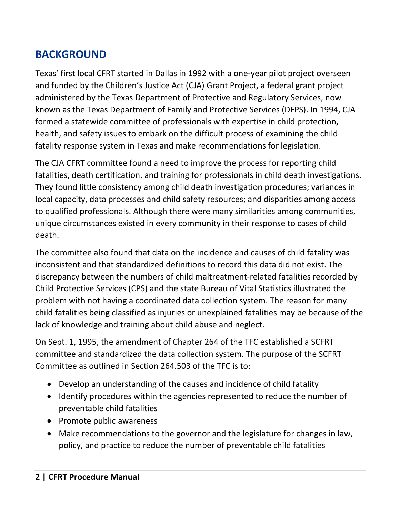# <span id="page-3-1"></span><span id="page-3-0"></span>**BACKGROUND**

Texas' first local CFRT started in Dallas in 1992 with a one-year pilot project overseen and funded by the Children's Justice Act (CJA) Grant Project, a federal grant project administered by the Texas Department of Protective and Regulatory Services, now known as the Texas Department of Family and Protective Services (DFPS). In 1994, CJA formed a statewide committee of professionals with expertise in child protection, health, and safety issues to embark on the difficult process of examining the child fatality response system in Texas and make recommendations for legislation.

The CJA CFRT committee found a need to improve the process for reporting child fatalities, death certification, and training for professionals in child death investigations. They found little consistency among child death investigation procedures; variances in local capacity, data processes and child safety resources; and disparities among access to qualified professionals. Although there were many similarities among communities, unique circumstances existed in every community in their response to cases of child death.

The committee also found that data on the incidence and causes of child fatality was inconsistent and that standardized definitions to record this data did not exist. The discrepancy between the numbers of child maltreatment‐related fatalities recorded by Child Protective Services (CPS) and the state Bureau of Vital Statistics illustrated the problem with not having a coordinated data collection system. The reason for many child fatalities being classified as injuries or unexplained fatalities may be because of the lack of knowledge and training about child abuse and neglect.

On Sept. 1, 1995, the amendment of Chapter 264 of the TFC established a SCFRT committee and standardized the data collection system. The purpose of the SCFRT Committee as outlined in Section 264.503 of the TFC is to:

- Develop an understanding of the causes and incidence of child fatality
- Identify procedures within the agencies represented to reduce the number of preventable child fatalities
- Promote public awareness
- Make recommendations to the governor and the legislature for changes in law, policy, and practice to reduce the number of preventable child fatalities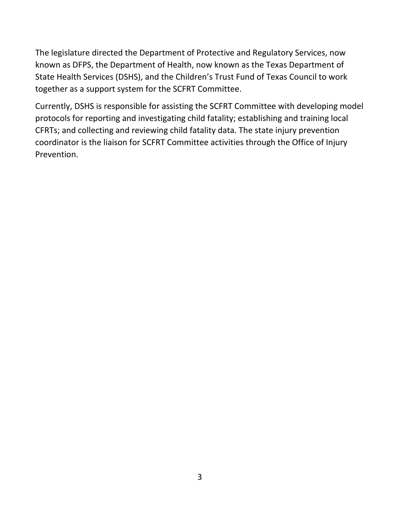The legislature directed the Department of Protective and Regulatory Services, now known as DFPS, the Department of Health, now known as the Texas Department of State Health Services (DSHS), and the Children's Trust Fund of Texas Council to work together as a support system for the SCFRT Committee.

Currently, DSHS is responsible for assisting the SCFRT Committee with developing model protocols for reporting and investigating child fatality; establishing and training local CFRTs; and collecting and reviewing child fatality data. The state injury prevention coordinator is the liaison for SCFRT Committee activities through the Office of Injury Prevention.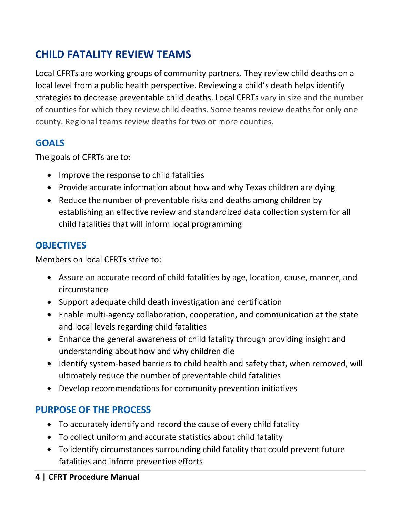# <span id="page-5-4"></span><span id="page-5-0"></span>**CHILD FATALITY REVIEW TEAMS**

<span id="page-5-1"></span>Local CFRTs are working groups of community partners. They review child deaths on a local level from a public health perspective. Reviewing a child's death helps identify strategies to decrease preventable child deaths. Local CFRTs vary in size and the number of counties for which they review child deaths. Some teams review deaths for only one county. Regional teams review deaths for two or more counties.

# **GOALS**

The goals of CFRTs are to:

- Improve the response to child fatalities
- Provide accurate information about how and why Texas children are dying
- Reduce the number of preventable risks and deaths among children by establishing an effective review and standardized data collection system for all child fatalities that will inform local programming

# <span id="page-5-2"></span>**OBJECTIVES**

Members on local CFRTs strive to:

- Assure an accurate record of child fatalities by age, location, cause, manner, and circumstance
- Support adequate child death investigation and certification
- Enable multi‐agency collaboration, cooperation, and communication at the state and local levels regarding child fatalities
- Enhance the general awareness of child fatality through providing insight and understanding about how and why children die
- Identify system‐based barriers to child health and safety that, when removed, will ultimately reduce the number of preventable child fatalities
- Develop recommendations for community prevention initiatives

# <span id="page-5-3"></span>**PURPOSE OF THE PROCESS**

- To accurately identify and record the cause of every child fatality
- To collect uniform and accurate statistics about child fatality
- To identify circumstances surrounding child fatality that could prevent future fatalities and inform preventive efforts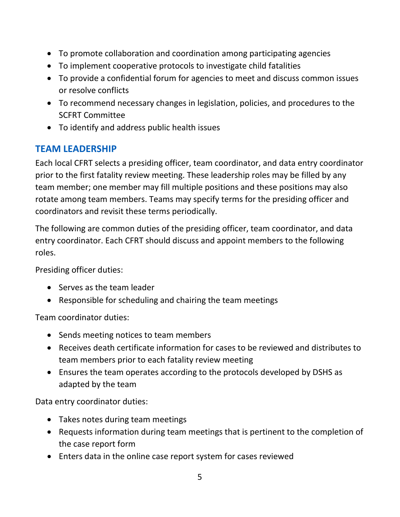- <span id="page-6-1"></span>• To promote collaboration and coordination among participating agencies
- To implement cooperative protocols to investigate child fatalities
- To provide a confidential forum for agencies to meet and discuss common issues or resolve conflicts
- To recommend necessary changes in legislation, policies, and procedures to the SCFRT Committee
- To identify and address public health issues

## <span id="page-6-0"></span>**TEAM LEADERSHIP**

Each local CFRT selects a presiding officer, team coordinator, and data entry coordinator prior to the first fatality review meeting. These leadership roles may be filled by any team member; one member may fill multiple positions and these positions may also rotate among team members. Teams may specify terms for the presiding officer and coordinators and revisit these terms periodically.

The following are common duties of the presiding officer, team coordinator, and data entry coordinator. Each CFRT should discuss and appoint members to the following roles.

Presiding officer duties:

- Serves as the team leader
- Responsible for scheduling and chairing the team meetings

Team coordinator duties:

- Sends meeting notices to team members
- Receives death certificate information for cases to be reviewed and distributes to team members prior to each fatality review meeting
- Ensures the team operates according to the protocols developed by DSHS as adapted by the team

Data entry coordinator duties:

- Takes notes during team meetings
- Requests information during team meetings that is pertinent to the completion of the case report form
- Enters data in the online case report system for cases reviewed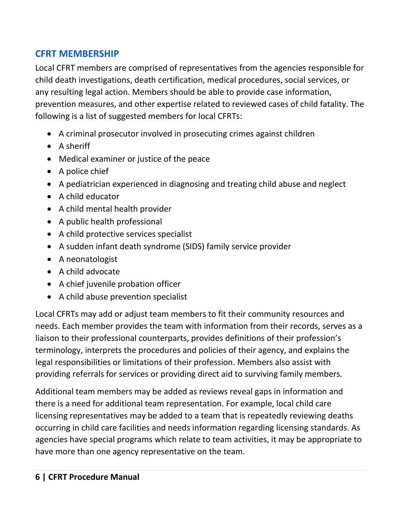## <span id="page-7-1"></span><span id="page-7-0"></span>**CFRT MEMBERSHIP**

Local CFRT members are comprised of representatives from the agencies responsible for child death investigations, death certification, medical procedures, social services, or any resulting legal action. Members should be able to provide case information, prevention measures, and other expertise related to reviewed cases of child fatality. The following is a list of suggested members for local CFRTs:

- A criminal prosecutor involved in prosecuting crimes against children
- A sheriff
- Medical examiner or justice of the peace
- A police chief
- A pediatrician experienced in diagnosing and treating child abuse and neglect
- A child educator
- A child mental health provider
- A public health professional
- A child protective services specialist
- A sudden infant death syndrome (SIDS) family service provider
- A neonatologist
- A child advocate
- A chief juvenile probation officer
- A child abuse prevention specialist

Local CFRTs may add or adjust team members to fit their community resources and needs. Each member provides the team with information from their records, serves as a liaison to their professional counterparts, provides definitions of their profession's terminology, interprets the procedures and policies of their agency, and explains the legal responsibilities or limitations of their profession. Members also assist with providing referrals for services or providing direct aid to surviving family members.

Additional team members may be added as reviews reveal gaps in information and there is a need for additional team representation. For example, local child care licensing representatives may be added to a team that is repeatedly reviewing deaths occurring in child care facilities and needs information regarding licensing standards. As agencies have special programs which relate to team activities, it may be appropriate to have more than one agency representative on the team.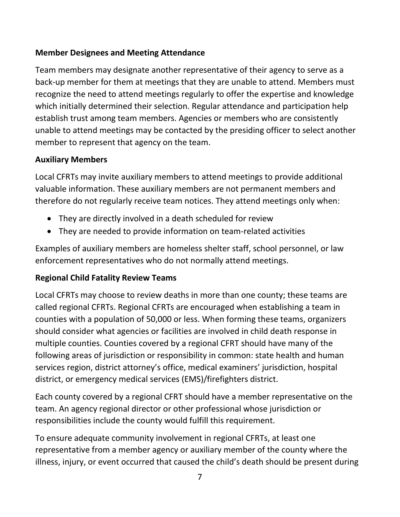#### **Member Designees and Meeting Attendance**

Team members may designate another representative of their agency to serve as a back‐up member for them at meetings that they are unable to attend. Members must recognize the need to attend meetings regularly to offer the expertise and knowledge which initially determined their selection. Regular attendance and participation help establish trust among team members. Agencies or members who are consistently unable to attend meetings may be contacted by the presiding officer to select another member to represent that agency on the team.

#### **Auxiliary Members**

Local CFRTs may invite auxiliary members to attend meetings to provide additional valuable information. These auxiliary members are not permanent members and therefore do not regularly receive team notices. They attend meetings only when:

- They are directly involved in a death scheduled for review
- They are needed to provide information on team‐related activities

Examples of auxiliary members are homeless shelter staff, school personnel, or law enforcement representatives who do not normally attend meetings.

## **Regional Child Fatality Review Teams**

Local CFRTs may choose to review deaths in more than one county; these teams are called regional CFRTs. Regional CFRTs are encouraged when establishing a team in counties with a population of 50,000 or less. When forming these teams, organizers should consider what agencies or facilities are involved in child death response in multiple counties. Counties covered by a regional CFRT should have many of the following areas of jurisdiction or responsibility in common: state health and human services region, district attorney's office, medical examiners' jurisdiction, hospital district, or emergency medical services (EMS)/firefighters district.

Each county covered by a regional CFRT should have a member representative on the team. An agency regional director or other professional whose jurisdiction or responsibilities include the county would fulfill this requirement.

To ensure adequate community involvement in regional CFRTs, at least one representative from a member agency or auxiliary member of the county where the illness, injury, or event occurred that caused the child's death should be present during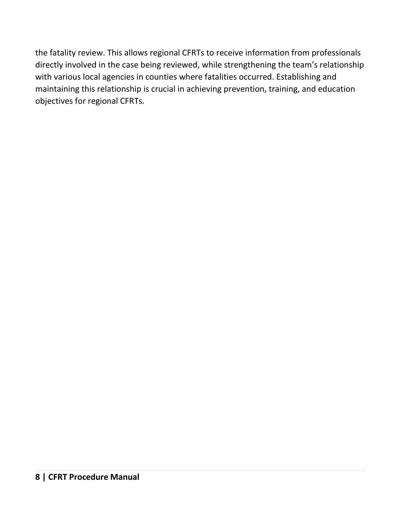the fatality review. This allows regional CFRTs to receive information from professionals directly involved in the case being reviewed, while strengthening the team's relationship with various local agencies in counties where fatalities occurred. Establishing and maintaining this relationship is crucial in achieving prevention, training, and education objectives for regional CFRTs.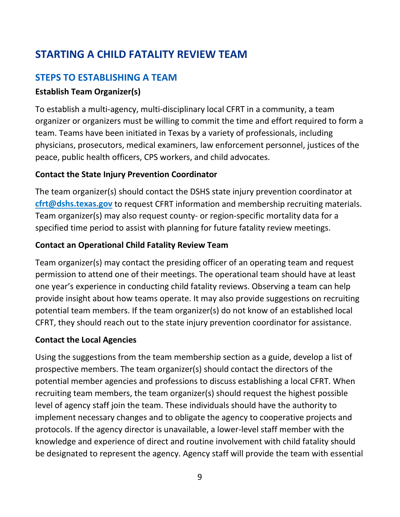# <span id="page-10-2"></span><span id="page-10-0"></span>**STARTING A CHILD FATALITY REVIEW TEAM**

## <span id="page-10-1"></span>**STEPS TO ESTABLISHING A TEAM**

## **Establish Team Organizer(s)**

To establish a multi‐agency, multi‐disciplinary local CFRT in a community, a team organizer or organizers must be willing to commit the time and effort required to form a team. Teams have been initiated in Texas by a variety of professionals, including physicians, prosecutors, medical examiners, law enforcement personnel, justices of the peace, public health officers, CPS workers, and child advocates.

#### **Contact the State Injury Prevention Coordinator**

The team organizer(s) should contact the DSHS state injury prevention coordinator at **[cfrt@dshs.texas.gov](mailto:cfrt@dshs.texas.gov)** to request CFRT information and membership recruiting materials. Team organizer(s) may also request county- or region-specific mortality data for a specified time period to assist with planning for future fatality review meetings.

## **Contact an Operational Child Fatality Review Team**

Team organizer(s) may contact the presiding officer of an operating team and request permission to attend one of their meetings. The operational team should have at least one year's experience in conducting child fatality reviews. Observing a team can help provide insight about how teams operate. It may also provide suggestions on recruiting potential team members. If the team organizer(s) do not know of an established local CFRT, they should reach out to the state injury prevention coordinator for assistance.

#### **Contact the Local Agencies**

Using the suggestions from the team membership section as a guide, develop a list of prospective members. The team organizer(s) should contact the directors of the potential member agencies and professions to discuss establishing a local CFRT. When recruiting team members, the team organizer(s) should request the highest possible level of agency staff join the team. These individuals should have the authority to implement necessary changes and to obligate the agency to cooperative projects and protocols. If the agency director is unavailable, a lower-level staff member with the knowledge and experience of direct and routine involvement with child fatality should be designated to represent the agency. Agency staff will provide the team with essential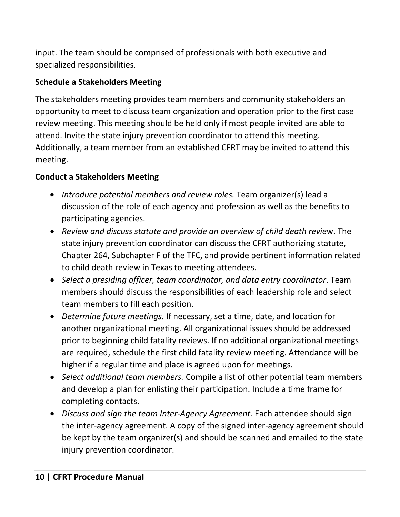input. The team should be comprised of professionals with both executive and specialized responsibilities.

## **Schedule a Stakeholders Meeting**

The stakeholders meeting provides team members and community stakeholders an opportunity to meet to discuss team organization and operation prior to the first case review meeting. This meeting should be held only if most people invited are able to attend. Invite the state injury prevention coordinator to attend this meeting. Additionally, a team member from an established CFRT may be invited to attend this meeting.

## **Conduct a Stakeholders Meeting**

- *Introduce potential members and review roles.* Team organizer(s) lead a discussion of the role of each agency and profession as well as the benefits to participating agencies.
- *Review and discuss statute and provide an overview of child death revie*w. The state injury prevention coordinator can discuss the CFRT authorizing statute, Chapter 264, Subchapter F of the TFC, and provide pertinent information related to child death review in Texas to meeting attendees.
- *Select a presiding officer, team coordinator, and data entry coordinator*. Team members should discuss the responsibilities of each leadership role and select team members to fill each position.
- *Determine future meetings.* If necessary, set a time, date, and location for another organizational meeting. All organizational issues should be addressed prior to beginning child fatality reviews. If no additional organizational meetings are required, schedule the first child fatality review meeting. Attendance will be higher if a regular time and place is agreed upon for meetings.
- *Select additional team members.* Compile a list of other potential team members and develop a plan for enlisting their participation. Include a time frame for completing contacts.
- *Discuss and sign the team Inter-Agency Agreement.* Each attendee should sign the inter‐agency agreement. A copy of the signed inter‐agency agreement should be kept by the team organizer(s) and should be scanned and emailed to the state injury prevention coordinator.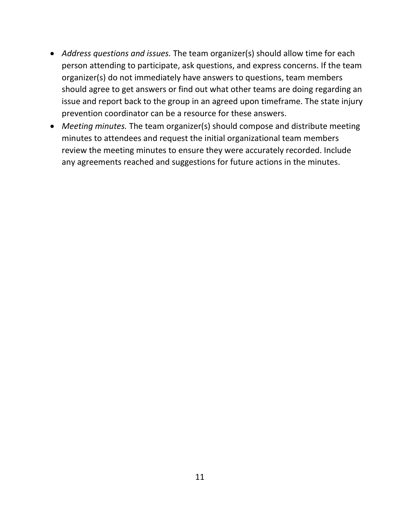- *Address questions and issues.* The team organizer(s) should allow time for each person attending to participate, ask questions, and express concerns. If the team organizer(s) do not immediately have answers to questions, team members should agree to get answers or find out what other teams are doing regarding an issue and report back to the group in an agreed upon timeframe. The state injury prevention coordinator can be a resource for these answers.
- *Meeting minutes.* The team organizer(s) should compose and distribute meeting minutes to attendees and request the initial organizational team members review the meeting minutes to ensure they were accurately recorded. Include any agreements reached and suggestions for future actions in the minutes.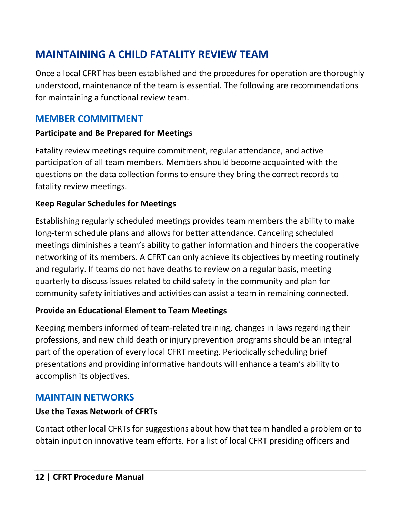# <span id="page-13-3"></span><span id="page-13-0"></span>**MAINTAINING A CHILD FATALITY REVIEW TEAM**

Once a local CFRT has been established and the procedures for operation are thoroughly understood, maintenance of the team is essential. The following are recommendations for maintaining a functional review team.

## <span id="page-13-1"></span>**MEMBER COMMITMENT**

#### **Participate and Be Prepared for Meetings**

Fatality review meetings require commitment, regular attendance, and active participation of all team members. Members should become acquainted with the questions on the data collection forms to ensure they bring the correct records to fatality review meetings.

#### **Keep Regular Schedules for Meetings**

Establishing regularly scheduled meetings provides team members the ability to make long-term schedule plans and allows for better attendance. Canceling scheduled meetings diminishes a team's ability to gather information and hinders the cooperative networking of its members. A CFRT can only achieve its objectives by meeting routinely and regularly. If teams do not have deaths to review on a regular basis, meeting quarterly to discuss issues related to child safety in the community and plan for community safety initiatives and activities can assist a team in remaining connected.

## **Provide an Educational Element to Team Meetings**

Keeping members informed of team‐related training, changes in laws regarding their professions, and new child death or injury prevention programs should be an integral part of the operation of every local CFRT meeting. Periodically scheduling brief presentations and providing informative handouts will enhance a team's ability to accomplish its objectives.

## <span id="page-13-2"></span>**MAINTAIN NETWORKS**

## **Use the Texas Network of CFRTs**

Contact other local CFRTs for suggestions about how that team handled a problem or to obtain input on innovative team efforts. For a list of local CFRT presiding officers and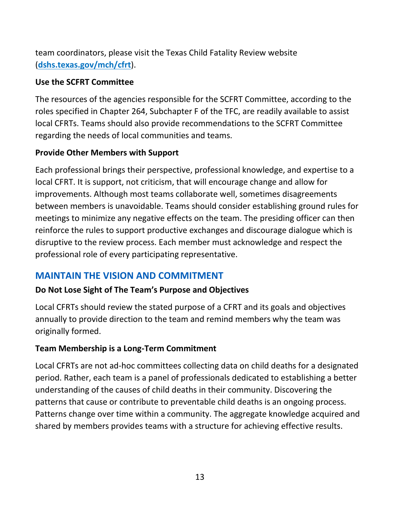<span id="page-14-1"></span>team coordinators, please visit the Texas Child Fatality Review website (**[dshs.texas.gov/mch/cfrt](http://www.dshs/mch/cfrt)**).

#### **Use the SCFRT Committee**

The resources of the agencies responsible for the SCFRT Committee, according to the roles specified in Chapter 264, Subchapter F of the TFC, are readily available to assist local CFRTs. Teams should also provide recommendations to the SCFRT Committee regarding the needs of local communities and teams.

#### **Provide Other Members with Support**

Each professional brings their perspective, professional knowledge, and expertise to a local CFRT. It is support, not criticism, that will encourage change and allow for improvements. Although most teams collaborate well, sometimes disagreements between members is unavoidable. Teams should consider establishing ground rules for meetings to minimize any negative effects on the team. The presiding officer can then reinforce the rules to support productive exchanges and discourage dialogue which is disruptive to the review process. Each member must acknowledge and respect the professional role of every participating representative.

## <span id="page-14-0"></span>**MAINTAIN THE VISION AND COMMITMENT**

#### **Do Not Lose Sight of The Team's Purpose and Objectives**

Local CFRTs should review the stated purpose of a CFRT and its goals and objectives annually to provide direction to the team and remind members why the team was originally formed.

#### **Team Membership is a Long‐Term Commitment**

Local CFRTs are not ad‐hoc committees collecting data on child deaths for a designated period. Rather, each team is a panel of professionals dedicated to establishing a better understanding of the causes of child deaths in their community. Discovering the patterns that cause or contribute to preventable child deaths is an ongoing process. Patterns change over time within a community. The aggregate knowledge acquired and shared by members provides teams with a structure for achieving effective results.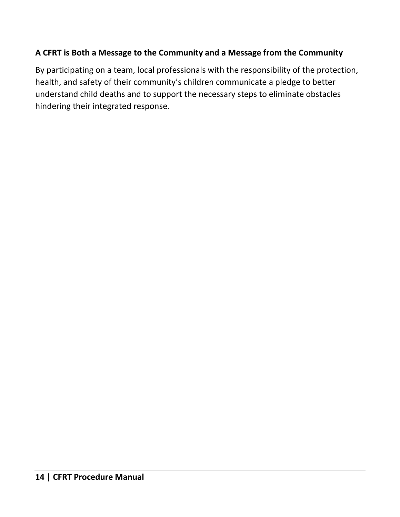## **A CFRT is Both a Message to the Community and a Message from the Community**

By participating on a team, local professionals with the responsibility of the protection, health, and safety of their community's children communicate a pledge to better understand child deaths and to support the necessary steps to eliminate obstacles hindering their integrated response.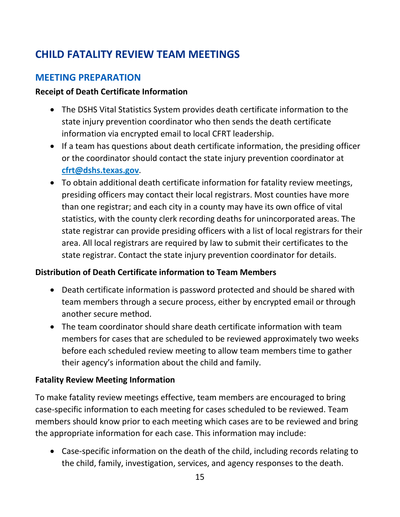# <span id="page-16-2"></span><span id="page-16-0"></span>**CHILD FATALITY REVIEW TEAM MEETINGS**

## <span id="page-16-1"></span>**MEETING PREPARATION**

#### **Receipt of Death Certificate Information**

- The DSHS Vital Statistics System provides death certificate information to the state injury prevention coordinator who then sends the death certificate information via encrypted email to local CFRT leadership.
- If a team has questions about death certificate information, the presiding officer or the coordinator should contact the state injury prevention coordinator at **[cfrt@dshs.texas.gov](mailto:cfrt@dshs.texas.gov)**.
- To obtain additional death certificate information for fatality review meetings, presiding officers may contact their local registrars. Most counties have more than one registrar; and each city in a county may have its own office of vital statistics, with the county clerk recording deaths for unincorporated areas. The state registrar can provide presiding officers with a list of local registrars for their area. All local registrars are required by law to submit their certificates to the state registrar. Contact the state injury prevention coordinator for details.

#### **Distribution of Death Certificate information to Team Members**

- Death certificate information is password protected and should be shared with team members through a secure process, either by encrypted email or through another secure method.
- The team coordinator should share death certificate information with team members for cases that are scheduled to be reviewed approximately two weeks before each scheduled review meeting to allow team members time to gather their agency's information about the child and family.

#### **Fatality Review Meeting Information**

To make fatality review meetings effective, team members are encouraged to bring case-specific information to each meeting for cases scheduled to be reviewed. Team members should know prior to each meeting which cases are to be reviewed and bring the appropriate information for each case. This information may include:

• Case-specific information on the death of the child, including records relating to the child, family, investigation, services, and agency responses to the death.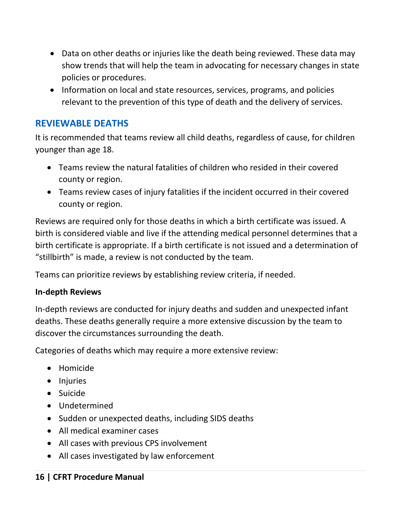- <span id="page-17-1"></span>• Data on other deaths or injuries like the death being reviewed. These data may show trends that will help the team in advocating for necessary changes in state policies or procedures.
- Information on local and state resources, services, programs, and policies relevant to the prevention of this type of death and the delivery of services.

## <span id="page-17-0"></span>**REVIEWABLE DEATHS**

It is recommended that teams review all child deaths, regardless of cause, for children younger than age 18.

- Teams review the natural fatalities of children who resided in their covered county or region.
- Teams review cases of injury fatalities if the incident occurred in their covered county or region.

Reviews are required only for those deaths in which a birth certificate was issued. A birth is considered viable and live if the attending medical personnel determines that a birth certificate is appropriate. If a birth certificate is not issued and a determination of "stillbirth" is made, a review is not conducted by the team.

Teams can prioritize reviews by establishing review criteria, if needed.

#### **In‐depth Reviews**

In‐depth reviews are conducted for injury deaths and sudden and unexpected infant deaths. These deaths generally require a more extensive discussion by the team to discover the circumstances surrounding the death.

Categories of deaths which may require a more extensive review:

- Homicide
- Injuries
- Suicide
- Undetermined
- Sudden or unexpected deaths, including SIDS deaths
- All medical examiner cases
- All cases with previous CPS involvement
- All cases investigated by law enforcement

#### **16 | CFRT Procedure Manual**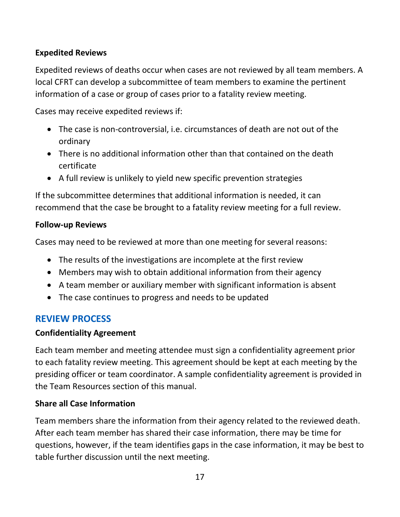#### <span id="page-18-1"></span>**Expedited Reviews**

Expedited reviews of deaths occur when cases are not reviewed by all team members. A local CFRT can develop a subcommittee of team members to examine the pertinent information of a case or group of cases prior to a fatality review meeting.

Cases may receive expedited reviews if:

- The case is non‐controversial, i.e. circumstances of death are not out of the ordinary
- There is no additional information other than that contained on the death certificate
- A full review is unlikely to yield new specific prevention strategies

If the subcommittee determines that additional information is needed, it can recommend that the case be brought to a fatality review meeting for a full review.

#### **Follow-up Reviews**

Cases may need to be reviewed at more than one meeting for several reasons:

- The results of the investigations are incomplete at the first review
- Members may wish to obtain additional information from their agency
- A team member or auxiliary member with significant information is absent
- The case continues to progress and needs to be updated

#### <span id="page-18-0"></span>**REVIEW PROCESS**

#### **Confidentiality Agreement**

Each team member and meeting attendee must sign a confidentiality agreement prior to each fatality review meeting. This agreement should be kept at each meeting by the presiding officer or team coordinator. A sample confidentiality agreement is provided in the Team Resources section of this manual.

#### **Share all Case Information**

Team members share the information from their agency related to the reviewed death. After each team member has shared their case information, there may be time for questions, however, if the team identifies gaps in the case information, it may be best to table further discussion until the next meeting.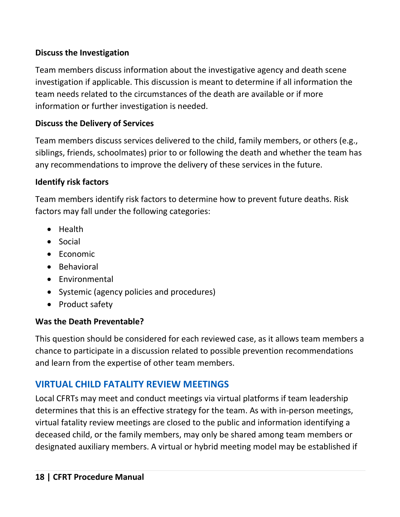## <span id="page-19-1"></span>**Discuss the Investigation**

Team members discuss information about the investigative agency and death scene investigation if applicable. This discussion is meant to determine if all information the team needs related to the circumstances of the death are available or if more information or further investigation is needed.

## **Discuss the Delivery of Services**

Team members discuss services delivered to the child, family members, or others (e.g., siblings, friends, schoolmates) prior to or following the death and whether the team has any recommendations to improve the delivery of these services in the future.

## **Identify risk factors**

Team members identify risk factors to determine how to prevent future deaths. Risk factors may fall under the following categories:

- Health
- Social
- Economic
- Behavioral
- Environmental
- Systemic (agency policies and procedures)
- Product safety

## **Was the Death Preventable?**

This question should be considered for each reviewed case, as it allows team members a chance to participate in a discussion related to possible prevention recommendations and learn from the expertise of other team members.

# <span id="page-19-0"></span>**VIRTUAL CHILD FATALITY REVIEW MEETINGS**

Local CFRTs may meet and conduct meetings via virtual platforms if team leadership determines that this is an effective strategy for the team. As with in-person meetings, virtual fatality review meetings are closed to the public and information identifying a deceased child, or the family members, may only be shared among team members or designated auxiliary members. A virtual or hybrid meeting model may be established if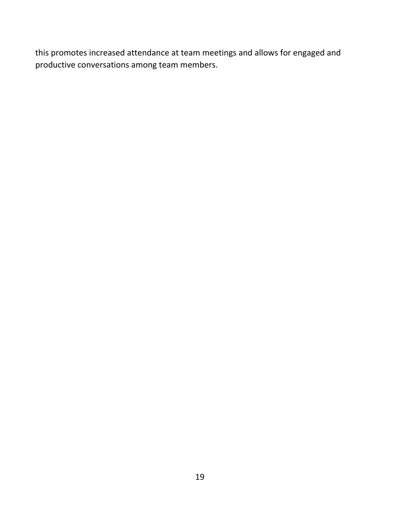this promotes increased attendance at team meetings and allows for engaged and productive conversations among team members.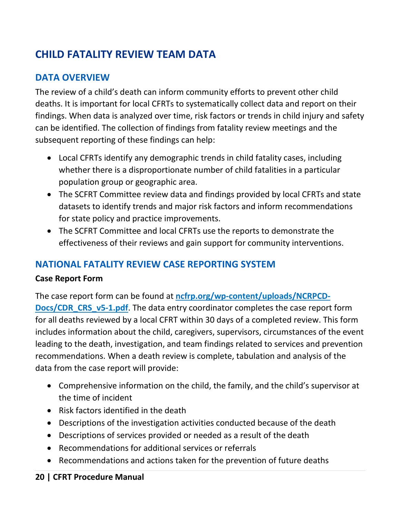# <span id="page-21-3"></span><span id="page-21-0"></span>**CHILD FATALITY REVIEW TEAM DATA**

## <span id="page-21-1"></span>**DATA OVERVIEW**

The review of a child's death can inform community efforts to prevent other child deaths. It is important for local CFRTs to systematically collect data and report on their findings. When data is analyzed over time, risk factors or trends in child injury and safety can be identified. The collection of findings from fatality review meetings and the subsequent reporting of these findings can help:

- Local CFRTs identify any demographic trends in child fatality cases, including whether there is a disproportionate number of child fatalities in a particular population group or geographic area.
- The SCFRT Committee review data and findings provided by local CFRTs and state datasets to identify trends and major risk factors and inform recommendations for state policy and practice improvements.
- The SCFRT Committee and local CFRTs use the reports to demonstrate the effectiveness of their reviews and gain support for community interventions.

# <span id="page-21-2"></span>**NATIONAL FATALITY REVIEW CASE REPORTING SYSTEM**

## **Case Report Form**

The case report form can be found at **[ncfrp.org/wp-content/uploads/NCRPCD-](http://www.ncfrp.org/wp-content/uploads/NCRPCD-Docs/CDR_CRS_v5-1.pdf)**

**[Docs/CDR\\_CRS\\_v5-1.pdf](http://www.ncfrp.org/wp-content/uploads/NCRPCD-Docs/CDR_CRS_v5-1.pdf)**. The data entry coordinator completes the case report form for all deaths reviewed by a local CFRT within 30 days of a completed review. This form includes information about the child, caregivers, supervisors, circumstances of the event leading to the death, investigation, and team findings related to services and prevention recommendations. When a death review is complete, tabulation and analysis of the data from the case report will provide:

- Comprehensive information on the child, the family, and the child's supervisor at the time of incident
- Risk factors identified in the death
- Descriptions of the investigation activities conducted because of the death
- Descriptions of services provided or needed as a result of the death
- Recommendations for additional services or referrals
- Recommendations and actions taken for the prevention of future deaths

## **20 | CFRT Procedure Manual**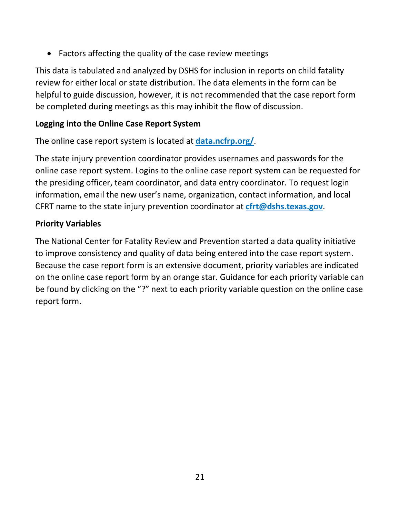• Factors affecting the quality of the case review meetings

This data is tabulated and analyzed by DSHS for inclusion in reports on child fatality review for either local or state distribution. The data elements in the form can be helpful to guide discussion, however, it is not recommended that the case report form be completed during meetings as this may inhibit the flow of discussion.

#### **Logging into the Online Case Report System**

The online case report system is located at **[data.ncfrp.org/](https://data.ncfrp.org/)**.

The state injury prevention coordinator provides usernames and passwords for the online case report system. Logins to the online case report system can be requested for the presiding officer, team coordinator, and data entry coordinator. To request login information, email the new user's name, organization, contact information, and local CFRT name to the state injury prevention coordinator at **[cfrt@dshs.texas.gov](mailto:cfrt@dshs.texas.gov)**.

#### **Priority Variables**

The National Center for Fatality Review and Prevention started a data quality initiative to improve consistency and quality of data being entered into the case report system. Because the case report form is an extensive document, priority variables are indicated on the online case report form by an orange star. Guidance for each priority variable can be found by clicking on the "?" next to each priority variable question on the online case report form.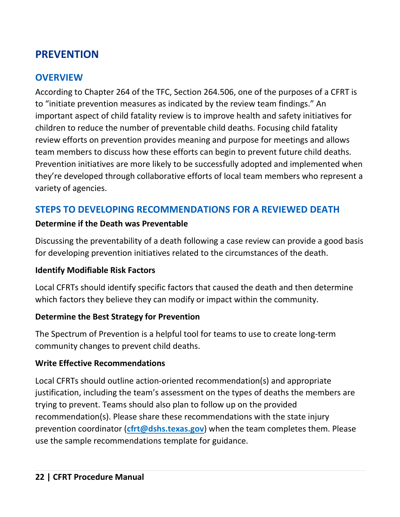# <span id="page-23-3"></span><span id="page-23-0"></span>**PREVENTION**

## <span id="page-23-1"></span>**OVERVIEW**

According to Chapter 264 of the TFC, Section 264.506, one of the purposes of a CFRT is to "initiate prevention measures as indicated by the review team findings." An important aspect of child fatality review is to improve health and safety initiatives for children to reduce the number of preventable child deaths. Focusing child fatality review efforts on prevention provides meaning and purpose for meetings and allows team members to discuss how these efforts can begin to prevent future child deaths. Prevention initiatives are more likely to be successfully adopted and implemented when they're developed through collaborative efforts of local team members who represent a variety of agencies.

## <span id="page-23-2"></span>**STEPS TO DEVELOPING RECOMMENDATIONS FOR A REVIEWED DEATH**

#### **Determine if the Death was Preventable**

Discussing the preventability of a death following a case review can provide a good basis for developing prevention initiatives related to the circumstances of the death.

#### **Identify Modifiable Risk Factors**

Local CFRTs should identify specific factors that caused the death and then determine which factors they believe they can modify or impact within the community.

#### **Determine the Best Strategy for Prevention**

The Spectrum of Prevention is a helpful tool for teams to use to create long-term community changes to prevent child deaths.

#### **Write Effective Recommendations**

Local CFRTs should outline action-oriented recommendation(s) and appropriate justification, including the team's assessment on the types of deaths the members are trying to prevent. Teams should also plan to follow up on the provided recommendation(s). Please share these recommendations with the state injury prevention coordinator (**[cfrt@dshs.texas.gov](mailto:cfrt@dshs.texas.gov)**) when the team completes them. Please use the sample recommendations template for guidance.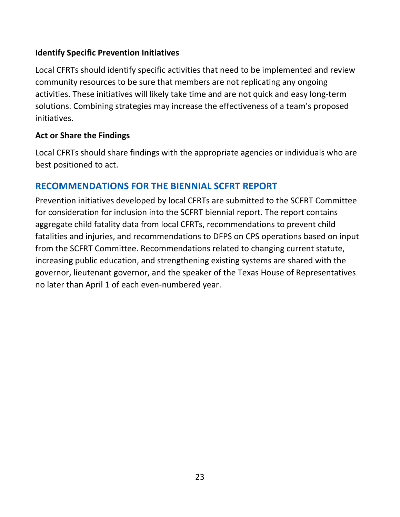#### <span id="page-24-1"></span>**Identify Specific Prevention Initiatives**

Local CFRTs should identify specific activities that need to be implemented and review community resources to be sure that members are not replicating any ongoing activities. These initiatives will likely take time and are not quick and easy long-term solutions. Combining strategies may increase the effectiveness of a team's proposed initiatives.

#### **Act or Share the Findings**

Local CFRTs should share findings with the appropriate agencies or individuals who are best positioned to act.

## <span id="page-24-0"></span>**RECOMMENDATIONS FOR THE BIENNIAL SCFRT REPORT**

Prevention initiatives developed by local CFRTs are submitted to the SCFRT Committee for consideration for inclusion into the SCFRT biennial report. The report contains aggregate child fatality data from local CFRTs, recommendations to prevent child fatalities and injuries, and recommendations to DFPS on CPS operations based on input from the SCFRT Committee. Recommendations related to changing current statute, increasing public education, and strengthening existing systems are shared with the governor, lieutenant governor, and the speaker of the Texas House of Representatives no later than April 1 of each even-numbered year.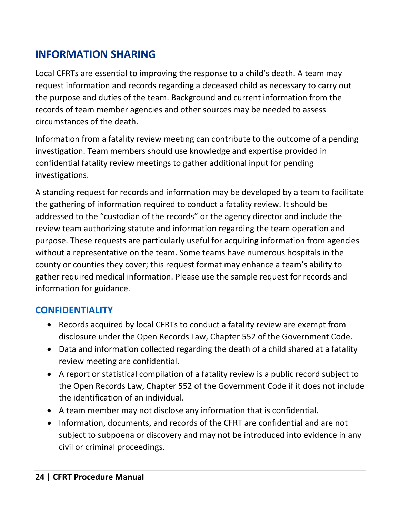# <span id="page-25-2"></span><span id="page-25-0"></span>**INFORMATION SHARING**

Local CFRTs are essential to improving the response to a child's death. A team may request information and records regarding a deceased child as necessary to carry out the purpose and duties of the team. Background and current information from the records of team member agencies and other sources may be needed to assess circumstances of the death.

Information from a fatality review meeting can contribute to the outcome of a pending investigation. Team members should use knowledge and expertise provided in confidential fatality review meetings to gather additional input for pending investigations.

A standing request for records and information may be developed by a team to facilitate the gathering of information required to conduct a fatality review. It should be addressed to the "custodian of the records" or the agency director and include the review team authorizing statute and information regarding the team operation and purpose. These requests are particularly useful for acquiring information from agencies without a representative on the team. Some teams have numerous hospitals in the county or counties they cover; this request format may enhance a team's ability to gather required medical information. Please use the sample request for records and information for guidance.

# <span id="page-25-1"></span>**CONFIDENTIALITY**

- Records acquired by local CFRTs to conduct a fatality review are exempt from disclosure under the Open Records Law, Chapter 552 of the Government Code.
- Data and information collected regarding the death of a child shared at a fatality review meeting are confidential.
- A report or statistical compilation of a fatality review is a public record subject to the Open Records Law, Chapter 552 of the Government Code if it does not include the identification of an individual.
- A team member may not disclose any information that is confidential.
- Information, documents, and records of the CFRT are confidential and are not subject to subpoena or discovery and may not be introduced into evidence in any civil or criminal proceedings.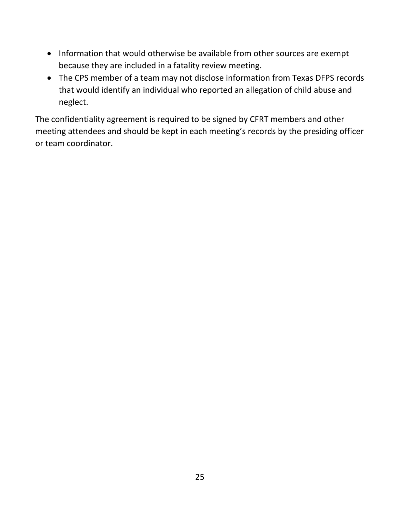- Information that would otherwise be available from other sources are exempt because they are included in a fatality review meeting.
- The CPS member of a team may not disclose information from Texas DFPS records that would identify an individual who reported an allegation of child abuse and neglect.

The confidentiality agreement is required to be signed by CFRT members and other meeting attendees and should be kept in each meeting's records by the presiding officer or team coordinator.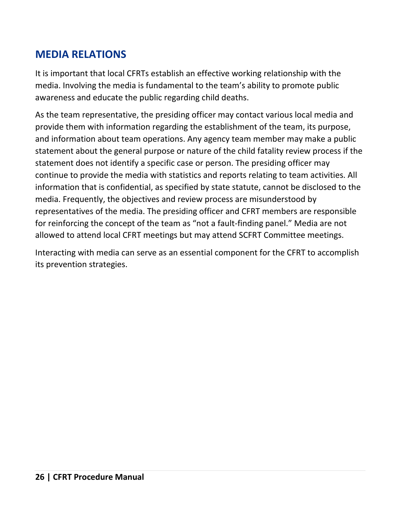# <span id="page-27-1"></span><span id="page-27-0"></span>**MEDIA RELATIONS**

It is important that local CFRTs establish an effective working relationship with the media. Involving the media is fundamental to the team's ability to promote public awareness and educate the public regarding child deaths.

As the team representative, the presiding officer may contact various local media and provide them with information regarding the establishment of the team, its purpose, and information about team operations. Any agency team member may make a public statement about the general purpose or nature of the child fatality review process if the statement does not identify a specific case or person. The presiding officer may continue to provide the media with statistics and reports relating to team activities. All information that is confidential, as specified by state statute, cannot be disclosed to the media. Frequently, the objectives and review process are misunderstood by representatives of the media. The presiding officer and CFRT members are responsible for reinforcing the concept of the team as "not a fault‐finding panel." Media are not allowed to attend local CFRT meetings but may attend SCFRT Committee meetings.

Interacting with media can serve as an essential component for the CFRT to accomplish its prevention strategies.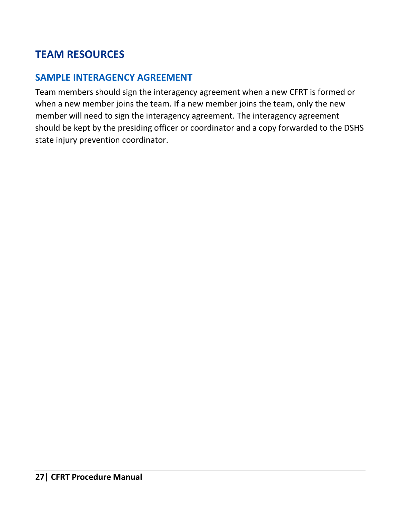# <span id="page-28-2"></span><span id="page-28-0"></span>**TEAM RESOURCES**

## <span id="page-28-1"></span>**SAMPLE INTERAGENCY AGREEMENT**

Team members should sign the interagency agreement when a new CFRT is formed or when a new member joins the team. If a new member joins the team, only the new member will need to sign the interagency agreement. The interagency agreement should be kept by the presiding officer or coordinator and a copy forwarded to the DSHS state injury prevention coordinator.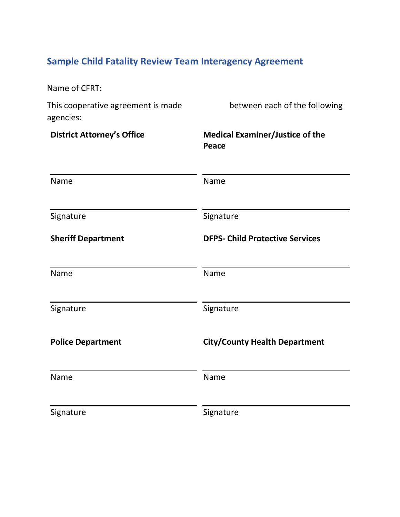# <span id="page-29-0"></span>**Sample Child Fatality Review Team Interagency Agreement**

| Name of CFRT:                                   |                                                 |
|-------------------------------------------------|-------------------------------------------------|
| This cooperative agreement is made<br>agencies: | between each of the following                   |
| <b>District Attorney's Office</b>               | <b>Medical Examiner/Justice of the</b><br>Peace |
| Name                                            | Name                                            |
| Signature                                       | Signature                                       |
| <b>Sheriff Department</b>                       | <b>DFPS- Child Protective Services</b>          |
| Name                                            | Name                                            |
| Signature                                       | Signature                                       |
| <b>Police Department</b>                        | <b>City/County Health Department</b>            |
| Name                                            | Name                                            |
| Signature                                       | Signature                                       |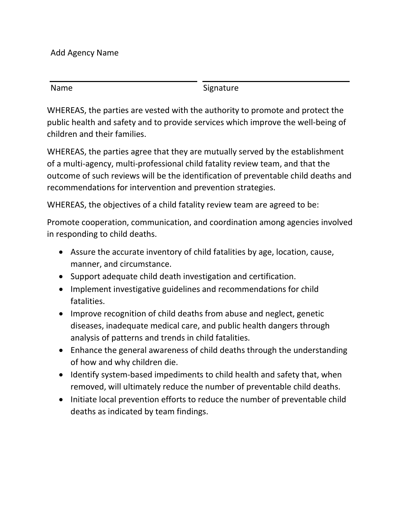Add Agency Name

| Name | Signature |
|------|-----------|

WHEREAS, the parties are vested with the authority to promote and protect the public health and safety and to provide services which improve the well‐being of children and their families.

WHEREAS, the parties agree that they are mutually served by the establishment of a multi‐agency, multi‐professional child fatality review team, and that the outcome of such reviews will be the identification of preventable child deaths and recommendations for intervention and prevention strategies.

WHEREAS, the objectives of a child fatality review team are agreed to be:

Promote cooperation, communication, and coordination among agencies involved in responding to child deaths.

- Assure the accurate inventory of child fatalities by age, location, cause, manner, and circumstance.
- Support adequate child death investigation and certification.
- Implement investigative guidelines and recommendations for child fatalities.
- Improve recognition of child deaths from abuse and neglect, genetic diseases, inadequate medical care, and public health dangers through analysis of patterns and trends in child fatalities.
- Enhance the general awareness of child deaths through the understanding of how and why children die.
- Identify system‐based impediments to child health and safety that, when removed, will ultimately reduce the number of preventable child deaths.
- Initiate local prevention efforts to reduce the number of preventable child deaths as indicated by team findings.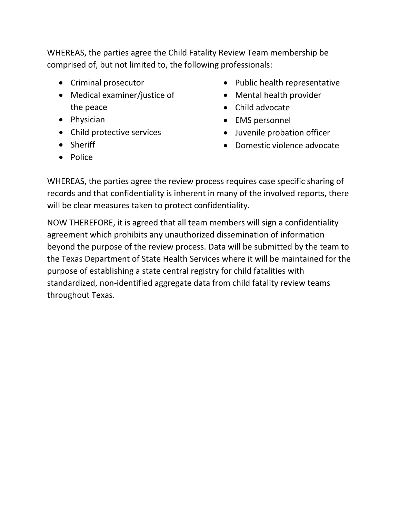WHEREAS, the parties agree the Child Fatality Review Team membership be comprised of, but not limited to, the following professionals:

- Criminal prosecutor
- Medical examiner/justice of the peace
- Physician
- Child protective services
- Sheriff
- Police
- Public health representative
- Mental health provider
- Child advocate
- EMS personnel
- Juvenile probation officer
- Domestic violence advocate

WHEREAS, the parties agree the review process requires case specific sharing of records and that confidentiality is inherent in many of the involved reports, there will be clear measures taken to protect confidentiality.

NOW THEREFORE, it is agreed that all team members will sign a confidentiality agreement which prohibits any unauthorized dissemination of information beyond the purpose of the review process. Data will be submitted by the team to the Texas Department of State Health Services where it will be maintained for the purpose of establishing a state central registry for child fatalities with standardized, non‐identified aggregate data from child fatality review teams throughout Texas.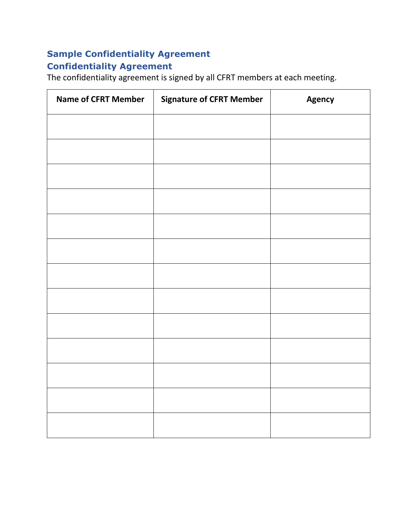# <span id="page-32-0"></span>**Sample Confidentiality Agreement Confidentiality Agreement**

The confidentiality agreement is signed by all CFRT members at each meeting.

| <b>Name of CFRT Member</b> | <b>Signature of CFRT Member</b> | Agency |
|----------------------------|---------------------------------|--------|
|                            |                                 |        |
|                            |                                 |        |
|                            |                                 |        |
|                            |                                 |        |
|                            |                                 |        |
|                            |                                 |        |
|                            |                                 |        |
|                            |                                 |        |
|                            |                                 |        |
|                            |                                 |        |
|                            |                                 |        |
|                            |                                 |        |
|                            |                                 |        |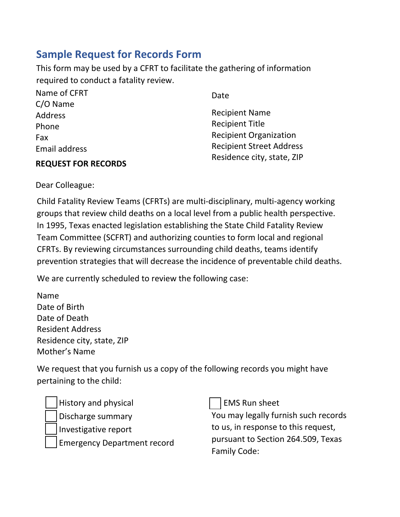# <span id="page-33-0"></span>**Sample Request for Records Form**

This form may be used by a CFRT to facilitate the gathering of information required to conduct a fatality review.

| Name of CFRT  | Date                            |
|---------------|---------------------------------|
| $C/O$ Name    |                                 |
| Address       | <b>Recipient Name</b>           |
| Phone         | <b>Recipient Title</b>          |
| Fax           | <b>Recipient Organization</b>   |
| Email address | <b>Recipient Street Address</b> |
|               | Residence city, state, ZIP      |

#### **REQUEST FOR RECORDS**

Dear Colleague:

Child Fatality Review Teams (CFRTs) are multi-disciplinary, multi-agency working groups that review child deaths on a local level from a public health perspective. In 1995, Texas enacted legislation establishing the State Child Fatality Review Team Committee (SCFRT) and authorizing counties to form local and regional CFRTs. By reviewing circumstances surrounding child deaths, teams identify prevention strategies that will decrease the incidence of preventable child deaths.

We are currently scheduled to review the following case:

Name Date of Birth Date of Death Resident Address Residence city, state, ZIP Mother's Name

We request that you furnish us a copy of the following records you might have pertaining to the child:

History and physical

Discharge summary

☐ Investigative report

Emergency Department record

**EMS Run sheet** 

You may legally furnish such records to us, in response to this request, pursuant to Section 264.509, Texas Family Code: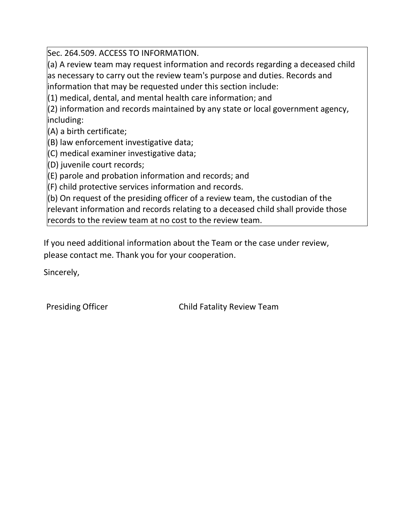Sec. 264.509. ACCESS TO INFORMATION.

(a) A review team may request information and records regarding a deceased child as necessary to carry out the review team's purpose and duties. Records and information that may be requested under this section include:

(1) medical, dental, and mental health care information; and

(2) information and records maintained by any state or local government agency, including:

(A) a birth certificate;

(B) law enforcement investigative data;

(C) medical examiner investigative data;

(D) juvenile court records;

(E) parole and probation information and records; and

(F) child protective services information and records.

(b) On request of the presiding officer of a review team, the custodian of the relevant information and records relating to a deceased child shall provide those records to the review team at no cost to the review team.

If you need additional information about the Team or the case under review, please contact me. Thank you for your cooperation.

Sincerely,

Presiding Officer **Child Fatality Review Team**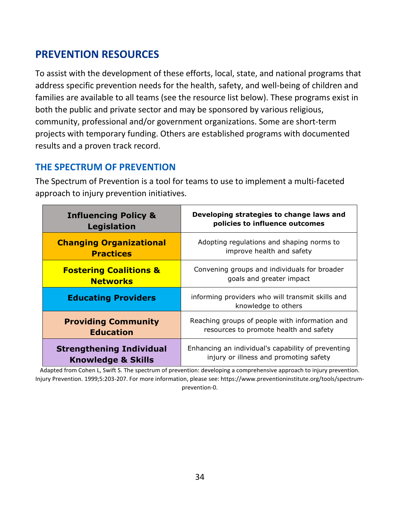# <span id="page-35-2"></span><span id="page-35-0"></span>**PREVENTION RESOURCES**

To assist with the development of these efforts, local, state, and national programs that address specific prevention needs for the health, safety, and well‐being of children and families are available to all teams (see the resource list below). These programs exist in both the public and private sector and may be sponsored by various religious, community, professional and/or government organizations. Some are short‐term projects with temporary funding. Others are established programs with documented results and a proven track record.

## <span id="page-35-1"></span>**THE SPECTRUM OF PREVENTION**

The Spectrum of Prevention is a tool for teams to use to implement a multi‐faceted approach to injury prevention initiatives.

| <b>Influencing Policy &amp;</b>   | Developing strategies to change laws and                                |
|-----------------------------------|-------------------------------------------------------------------------|
| <b>Legislation</b>                | policies to influence outcomes                                          |
| <b>Changing Organizational</b>    | Adopting regulations and shaping norms to                               |
| <b>Practices</b>                  | improve health and safety                                               |
| <b>Fostering Coalitions &amp;</b> | Convening groups and individuals for broader                            |
| <b>Networks</b>                   | goals and greater impact                                                |
| <b>Educating Providers</b>        | informing providers who will transmit skills and<br>knowledge to others |
| <b>Providing Community</b>        | Reaching groups of people with information and                          |
| <b>Education</b>                  | resources to promote health and safety                                  |
| <b>Strengthening Individual</b>   | Enhancing an individual's capability of preventing                      |
| <b>Knowledge &amp; Skills</b>     | injury or illness and promoting safety                                  |

Adapted from Cohen L, Swift S. The spectrum of prevention: developing a comprehensive approach to injury prevention. Injury Prevention. 1999;5:203-207. For more information, please see: https://www.preventioninstitute.org/tools/spectrumprevention-0.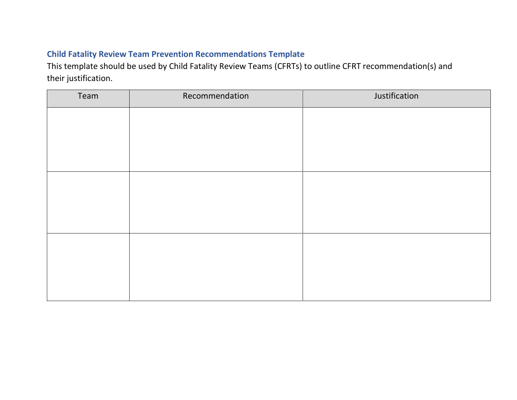## <span id="page-36-0"></span>**Child Fatality Review Team Prevention Recommendations Template**

This template should be used by Child Fatality Review Teams (CFRTs) to outline CFRT recommendation(s) and their justification.

| Team | Recommendation | Justification |
|------|----------------|---------------|
|      |                |               |
|      |                |               |
|      |                |               |
|      |                |               |
|      |                |               |
|      |                |               |
|      |                |               |
|      |                |               |
|      |                |               |
|      |                |               |
|      |                |               |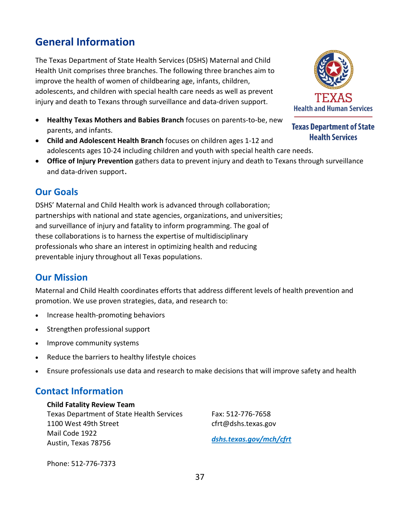# **General Information**

The Texas Department of State Health Services (DSHS) Maternal and Child Health Unit comprises three branches. The following three branches aim to improve the health of women of childbearing age, infants, children, adolescents, and children with special health care needs as well as prevent injury and death to Texans through surveillance and data-driven support.

- **Healthy Texas Mothers and Babies Branch** focuses on parents-to-be, new parents, and infants.
- **Child and Adolescent Health Branch** focuses on children ages 1-12 and adolescents ages 10-24 including children and youth with special health care needs.
- **Office of Injury Prevention** gathers data to prevent injury and death to Texans through surveillance and data-driven support.

#### **Our Goals**

DSHS' Maternal and Child Health work is advanced through collaboration; partnerships with national and state agencies, organizations, and universities; and surveillance of injury and fatality to inform programming. The goal of these collaborations is to harness the expertise of multidisciplinary professionals who share an interest in optimizing health and reducing preventable injury throughout all Texas populations.

## **Our Mission**

Maternal and Child Health coordinates efforts that address different levels of health prevention and promotion. We use proven strategies, data, and research to:

- Increase health-promoting behaviors
- Strengthen professional support
- Improve community systems
- Reduce the barriers to healthy lifestyle choices
- Ensure professionals use data and research to make decisions that will improve safety and health

## **Contact Information**

#### **Child Fatality Review Team**

Texas Department of State Health Services 1100 West 49th Street Mail Code 1922 Austin, Texas 78756

Fax: 512-776-7658 cfrt@dshs.texas.gov *dshs.texas.gov/mch/cfrt*

Phone: 512-776-7373



**Texas Department of State Health Services**